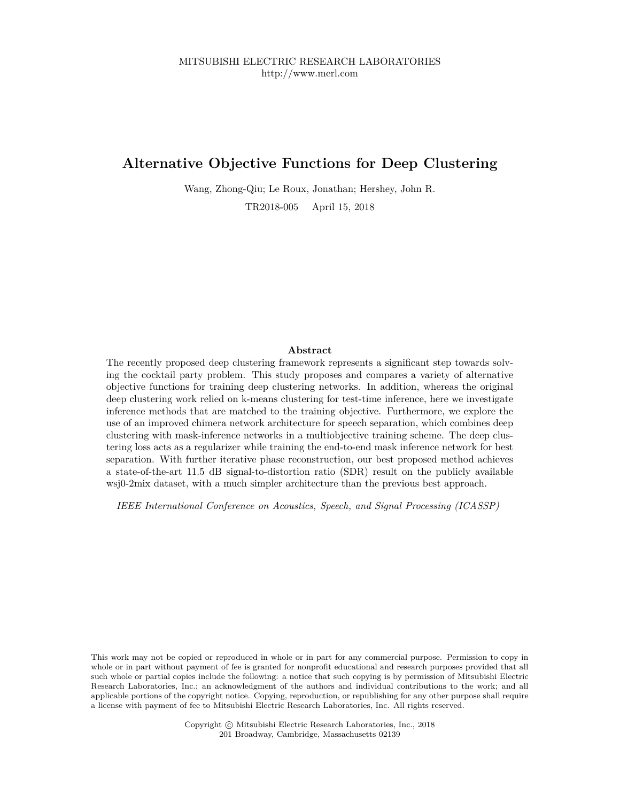# **Alternative Objective Functions for Deep Clustering**

Wang, Zhong-Qiu; Le Roux, Jonathan; Hershey, John R.

TR2018-005 April 15, 2018

# **Abstract**

The recently proposed deep clustering framework represents a significant step towards solving the cocktail party problem. This study proposes and compares a variety of alternative objective functions for training deep clustering networks. In addition, whereas the original deep clustering work relied on k-means clustering for test-time inference, here we investigate inference methods that are matched to the training objective. Furthermore, we explore the use of an improved chimera network architecture for speech separation, which combines deep clustering with mask-inference networks in a multiobjective training scheme. The deep clustering loss acts as a regularizer while training the end-to-end mask inference network for best separation. With further iterative phase reconstruction, our best proposed method achieves a state-of-the-art 11.5 dB signal-to-distortion ratio (SDR) result on the publicly available wsj0-2mix dataset, with a much simpler architecture than the previous best approach.

*IEEE International Conference on Acoustics, Speech, and Signal Processing (ICASSP)*

This work may not be copied or reproduced in whole or in part for any commercial purpose. Permission to copy in whole or in part without payment of fee is granted for nonprofit educational and research purposes provided that all such whole or partial copies include the following: a notice that such copying is by permission of Mitsubishi Electric Research Laboratories, Inc.; an acknowledgment of the authors and individual contributions to the work; and all applicable portions of the copyright notice. Copying, reproduction, or republishing for any other purpose shall require a license with payment of fee to Mitsubishi Electric Research Laboratories, Inc. All rights reserved.

> Copyright © Mitsubishi Electric Research Laboratories, Inc., 2018 201 Broadway, Cambridge, Massachusetts 02139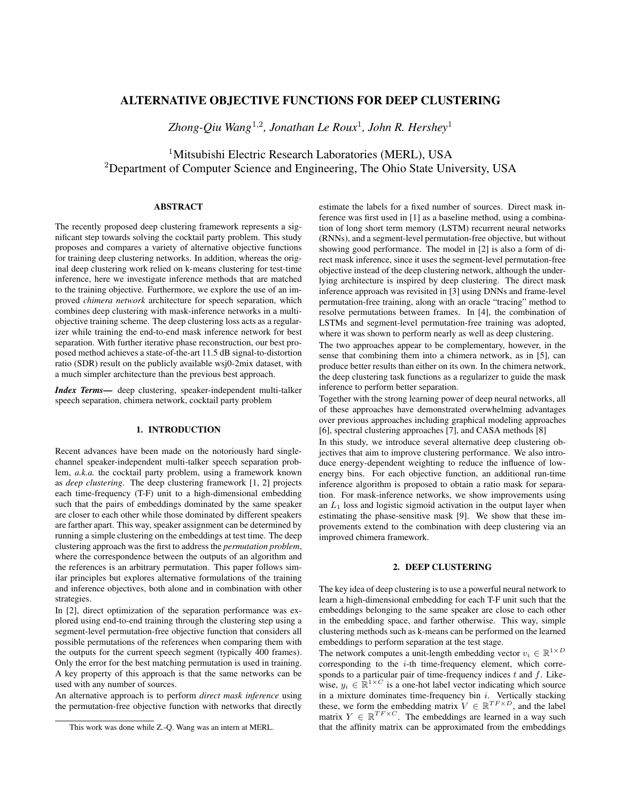# ALTERNATIVE OBJECTIVE FUNCTIONS FOR DEEP CLUSTERING

*Zhong-Qiu Wang*<sup>1</sup>,<sup>2</sup> *, Jonathan Le Roux*<sup>1</sup> *, John R. Hershey*<sup>1</sup>

<sup>1</sup>Mitsubishi Electric Research Laboratories (MERL), USA <sup>2</sup>Department of Computer Science and Engineering, The Ohio State University, USA

# ABSTRACT

The recently proposed deep clustering framework represents a significant step towards solving the cocktail party problem. This study proposes and compares a variety of alternative objective functions for training deep clustering networks. In addition, whereas the original deep clustering work relied on k-means clustering for test-time inference, here we investigate inference methods that are matched to the training objective. Furthermore, we explore the use of an improved *chimera network* architecture for speech separation, which combines deep clustering with mask-inference networks in a multiobjective training scheme. The deep clustering loss acts as a regularizer while training the end-to-end mask inference network for best separation. With further iterative phase reconstruction, our best proposed method achieves a state-of-the-art 11.5 dB signal-to-distortion ratio (SDR) result on the publicly available wsj0-2mix dataset, with a much simpler architecture than the previous best approach.

*Index Terms*— deep clustering, speaker-independent multi-talker speech separation, chimera network, cocktail party problem

### 1. INTRODUCTION

Recent advances have been made on the notoriously hard singlechannel speaker-independent multi-talker speech separation problem, *a.k.a.* the cocktail party problem, using a framework known as *deep clustering*. The deep clustering framework [1, 2] projects each time-frequency (T-F) unit to a high-dimensional embedding such that the pairs of embeddings dominated by the same speaker are closer to each other while those dominated by different speakers are farther apart. This way, speaker assignment can be determined by running a simple clustering on the embeddings at test time. The deep clustering approach was the first to address the *permutation problem*, where the correspondence between the outputs of an algorithm and the references is an arbitrary permutation. This paper follows similar principles but explores alternative formulations of the training and inference objectives, both alone and in combination with other strategies.

In [2], direct optimization of the separation performance was explored using end-to-end training through the clustering step using a segment-level permutation-free objective function that considers all possible permutations of the references when comparing them with the outputs for the current speech segment (typically 400 frames). Only the error for the best matching permutation is used in training. A key property of this approach is that the same networks can be used with any number of sources.

An alternative approach is to perform *direct mask inference* using the permutation-free objective function with networks that directly estimate the labels for a fixed number of sources. Direct mask inference was first used in [1] as a baseline method, using a combination of long short term memory (LSTM) recurrent neural networks (RNNs), and a segment-level permutation-free objective, but without showing good performance. The model in [2] is also a form of direct mask inference, since it uses the segment-level permutation-free objective instead of the deep clustering network, although the underlying architecture is inspired by deep clustering. The direct mask inference approach was revisited in [3] using DNNs and frame-level permutation-free training, along with an oracle "tracing" method to resolve permutations between frames. In [4], the combination of LSTMs and segment-level permutation-free training was adopted, where it was shown to perform nearly as well as deep clustering.

The two approaches appear to be complementary, however, in the sense that combining them into a chimera network, as in [5], can produce better results than either on its own. In the chimera network, the deep clustering task functions as a regularizer to guide the mask inference to perform better separation.

Together with the strong learning power of deep neural networks, all of these approaches have demonstrated overwhelming advantages over previous approaches including graphical modeling approaches [6], spectral clustering approaches [7], and CASA methods [8]

In this study, we introduce several alternative deep clustering objectives that aim to improve clustering performance. We also introduce energy-dependent weighting to reduce the influence of lowenergy bins. For each objective function, an additional run-time inference algorithm is proposed to obtain a ratio mask for separation. For mask-inference networks, we show improvements using an  $L_1$  loss and logistic sigmoid activation in the output layer when estimating the phase-sensitive mask [9]. We show that these improvements extend to the combination with deep clustering via an improved chimera framework.

# 2. DEEP CLUSTERING

The key idea of deep clustering is to use a powerful neural network to learn a high-dimensional embedding for each T-F unit such that the embeddings belonging to the same speaker are close to each other in the embedding space, and farther otherwise. This way, simple clustering methods such as k-means can be performed on the learned embeddings to perform separation at the test stage.

The network computes a unit-length embedding vector  $v_i \in \mathbb{R}^{1 \times D}$ corresponding to the i-th time-frequency element, which corresponds to a particular pair of time-frequency indices  $t$  and  $f$ . Likewise,  $y_i \in \mathbb{R}^{1 \times C}$  is a one-hot label vector indicating which source in a mixture dominates time-frequency bin  $i$ . Vertically stacking these, we form the embedding matrix  $V \in \mathbb{R}^{TF \times D}$ , and the label matrix  $Y \in \mathbb{R}^{TF \times C}$ . The embeddings are learned in a way such that the affinity matrix can be approximated from the embeddings

This work was done while Z.-Q. Wang was an intern at MERL.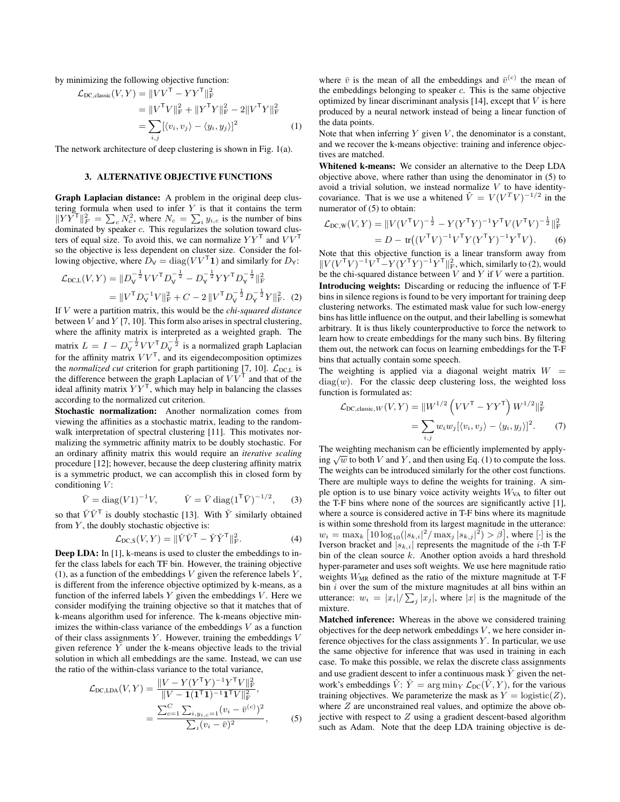by minimizing the following objective function:

$$
\mathcal{L}_{\text{DC, classic}}(V, Y) = ||VV^{\mathsf{T}} - YY^{\mathsf{T}}||_{\text{F}}^{2}
$$
  
=  $||V^{\mathsf{T}}V||_{\text{F}}^{2} + ||Y^{\mathsf{T}}Y||_{\text{F}}^{2} - 2||V^{\mathsf{T}}Y||_{\text{F}}^{2}$   
= 
$$
\sum_{i,j} [(v_{i}, v_{j}) - \langle y_{i}, y_{j} \rangle]^{2}
$$
 (1)

The network architecture of deep clustering is shown in Fig. 1(a).

#### 3. ALTERNATIVE OBJECTIVE FUNCTIONS

Graph Laplacian distance: A problem in the original deep clustering formula when used to infer  $Y$  is that it contains the term  $\|YY^{\mathsf{T}}\|_F^2 = \sum_c N_c^2$ , where  $N_c = \sum_i y_{i,c}$  is the number of bins dominated by speaker c. This regularizes the solution toward clusters of equal size. To avoid this, we can normalize  $YY<sup>T</sup>$  and  $VV<sup>T</sup>$ so the objective is less dependent on cluster size. Consider the following objective, where  $D_V = \text{diag}(VV^{\mathsf{T}} \mathbf{1})$  and similarly for  $D_Y$ :

$$
\mathcal{L}_{\text{DCL}}(V, Y) = ||D_{\text{V}}^{-\frac{1}{2}} V V^{\mathsf{T}} D_{\text{V}}^{-\frac{1}{2}} - D_{\text{Y}}^{-\frac{1}{2}} Y Y^{\mathsf{T}} D_{\text{Y}}^{-\frac{1}{2}}||_{\text{F}}^2
$$
  
= 
$$
||V^{\mathsf{T}} D_{\text{V}}^{-1} V||_{\text{F}}^2 + C - 2 ||V^{\mathsf{T}} D_{\text{V}}^{-\frac{1}{2}} D_{\text{Y}}^{-\frac{1}{2}} Y ||_{\text{F}}^2.
$$
 (2)

If V were a partition matrix, this would be the *chi-squared distance* between  $V$  and  $Y$  [7, 10]. This form also arises in spectral clustering, where the affinity matrix is interpreted as a weighted graph. The matrix  $L = I - D_v^{-\frac{1}{2}} V V^{\mathsf{T}} D_v^{-\frac{1}{2}}$  is a normalized graph Laplacian for the affinity matrix  $VV<sup>T</sup>$ , and its eigendecomposition optimizes the *normalized cut* criterion for graph partitioning [7, 10].  $\mathcal{L}_{\text{DC,L}}$  is the difference between the graph Laplacian of  $\overline{VV}^T$  and that of the ideal affinity matrix  $YY<sup>T</sup>$ , which may help in balancing the classes according to the normalized cut criterion.

Stochastic normalization: Another normalization comes from viewing the affinities as a stochastic matrix, leading to the randomwalk interpretation of spectral clustering [11]. This motivates normalizing the symmetric affinity matrix to be doubly stochastic. For an ordinary affinity matrix this would require an *iterative scaling* procedure [12]; however, because the deep clustering affinity matrix is a symmetric product, we can accomplish this in closed form by conditioning  $V$ :

$$
\bar{V} = \text{diag}(V1)^{-1}V
$$
,  $\tilde{V} = \bar{V} \text{diag}(1^{\text{T}}\bar{V})^{-1/2}$ , (3)

so that  $\check{V}\check{V}^{\mathsf{T}}$  is doubly stochastic [13]. With  $\check{Y}$  similarly obtained from  $Y$ , the doubly stochastic objective is:

$$
\mathcal{L}_{\text{DC},\text{S}}(V,Y) = \|\check{V}\check{V}^{\mathsf{T}} - \check{Y}\check{Y}^{\mathsf{T}}\|_{\text{F}}^2.
$$
 (4)

Deep LDA: In [1], k-means is used to cluster the embeddings to infer the class labels for each TF bin. However, the training objective (1), as a function of the embeddings  $V$  given the reference labels  $Y$ , is different from the inference objective optimized by k-means, as a function of the inferred labels  $Y$  given the embeddings  $V$ . Here we consider modifying the training objective so that it matches that of k-means algorithm used for inference. The k-means objective minimizes the within-class variance of the embeddings  $V$  as a function of their class assignments  $Y$ . However, training the embeddings  $V$ given reference Y under the k-means objective leads to the trivial solution in which all embeddings are the same. Instead, we can use the ratio of the within-class variance to the total variance,

$$
\mathcal{L}_{\text{DC,LDA}}(V, Y) = \frac{\|V - Y(Y^{\mathsf{T}}Y)^{-1}Y^{\mathsf{T}}V\|_{\text{F}}^2}{\|V - \mathbf{1}(\mathbf{1}^{\mathsf{T}}\mathbf{1})^{-1}\mathbf{1}^{\mathsf{T}}V\|_{\text{F}}^2},
$$
\n
$$
= \frac{\sum_{c=1}^{C} \sum_{i, y_{i,c}=1} (v_i - \bar{v}^{(c)})^2}{\sum_{i} (v_i - \bar{v})^2}, \tag{5}
$$

where  $\bar{v}$  is the mean of all the embeddings and  $\bar{v}^{(c)}$  the mean of the embeddings belonging to speaker  $c$ . This is the same objective optimized by linear discriminant analysis  $[14]$ , except that  $V$  is here produced by a neural network instead of being a linear function of the data points.

Note that when inferring  $Y$  given  $V$ , the denominator is a constant, and we recover the k-means objective: training and inference objectives are matched.

Whitened k-means: We consider an alternative to the Deep LDA objective above, where rather than using the denominator in (5) to avoid a trivial solution, we instead normalize  $V$  to have identitycovariance. That is we use a whitened  $\tilde{V} = V(V^T V)^{-1/2}$  in the numerator of (5) to obtain:

$$
\mathcal{L}_{\text{DC,W}}(V, Y) = ||V(V^{\mathsf{T}}V)^{-\frac{1}{2}} - Y(Y^{\mathsf{T}}Y)^{-1}Y^{\mathsf{T}}V(V^{\mathsf{T}}V)^{-\frac{1}{2}}||_{\text{F}}^2
$$
  
=  $D - \text{tr}((V^{\mathsf{T}}V)^{-1}V^{\mathsf{T}}Y(Y^{\mathsf{T}}Y)^{-1}Y^{\mathsf{T}}V).$  (6)

Note that this objective function is a linear transform away from  $\|V(V^{\mathsf{T}}V)^{-1}V^{\mathsf{T}}-Y(Y^{\mathsf{T}}Y)^{-1}Y^{\mathsf{T}}\|_{\mathcal{F}}^2$ , which, similarly to (2), would be the chi-squared distance between  $V$  and  $Y$  if  $V$  were a partition. Introducing weights: Discarding or reducing the influence of T-F bins in silence regions is found to be very important for training deep clustering networks. The estimated mask value for such low-energy bins has little influence on the output, and their labelling is somewhat arbitrary. It is thus likely counterproductive to force the network to learn how to create embeddings for the many such bins. By filtering them out, the network can focus on learning embeddings for the T-F bins that actually contain some speech.

The weighting is applied via a diagonal weight matrix  $W =$  $diag(w)$ . For the classic deep clustering loss, the weighted loss function is formulated as:

$$
\mathcal{L}_{\text{DC, classic},W}(V, Y) = ||W^{1/2} \left( VV^{\mathsf{T}} - YY^{\mathsf{T}} \right) W^{1/2}||_{\text{F}}^2
$$
  
= 
$$
\sum_{i,j} w_i w_j [\langle v_i, v_j \rangle - \langle y_i, y_j \rangle]^2.
$$
 (7)

The weighting mechanism can be efficiently implemented by apply-The weighting inecrialism can be efficiently implemented by applying  $\sqrt{w}$  to both V and Y, and then using Eq. (1) to compute the loss. The weights can be introduced similarly for the other cost functions. There are multiple ways to define the weights for training. A simple option is to use binary voice activity weights  $W_{VA}$  to filter out the T-F bins where none of the sources are significantly active [1], where a source is considered active in T-F bins where its magnitude is within some threshold from its largest magnitude in the utterance:  $w_i = \max_k \left[ 10 \log_{10} (|s_{k,i}|^2 / \max_j |s_{k,j}|^2) > \beta \right]$ , where  $[\cdot]$  is the Iverson bracket and  $|s_{k,i}|$  represents the magnitude of the *i*-th T-F bin of the clean source  $k$ . Another option avoids a hard threshold hyper-parameter and uses soft weights. We use here magnitude ratio weights  $W_{MR}$  defined as the ratio of the mixture magnitude at T-F bin  $i$  over the sum of the mixture magnitudes at all bins within an utterance:  $w_i = |x_i| / \sum_j |x_j|$ , where |x| is the magnitude of the mixture.

Matched inference: Whereas in the above we considered training objectives for the deep network embeddings  $V$ , we here consider inference objectives for the class assignments  $Y$ . In particular, we use the same objective for inference that was used in training in each case. To make this possible, we relax the discrete class assignments and use gradient descent to infer a continuous mask  $\hat{Y}$  given the network's embeddings  $\hat{V}$ :  $\hat{Y} = \arg\min_{Y} \mathcal{L}_{DC}(\hat{V}, Y)$ , for the various training objectives. We parameterize the mask as  $Y = \text{logistic}(Z)$ , where  $Z$  are unconstrained real values, and optimize the above objective with respect to  $Z$  using a gradient descent-based algorithm such as Adam. Note that the deep LDA training objective is de-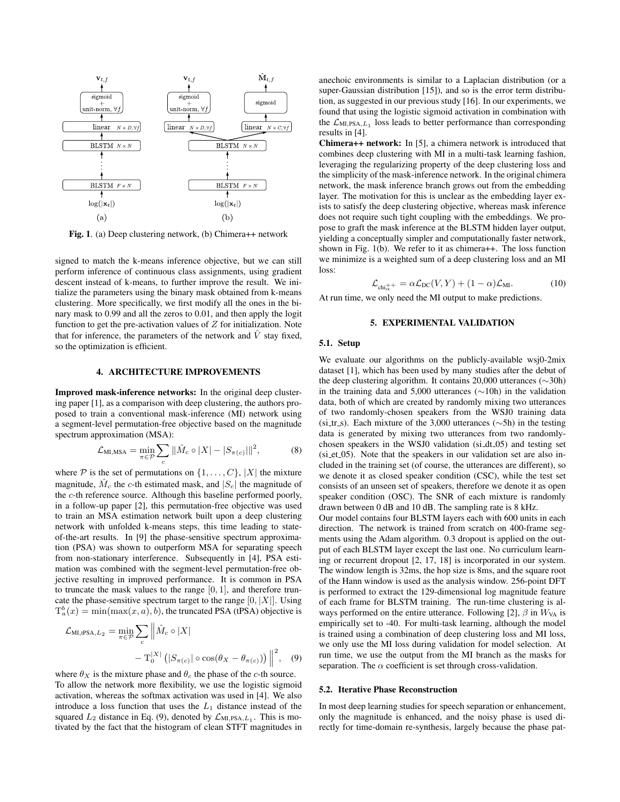

Fig. 1. (a) Deep clustering network, (b) Chimera++ network

signed to match the k-means inference objective, but we can still perform inference of continuous class assignments, using gradient descent instead of k-means, to further improve the result. We initialize the parameters using the binary mask obtained from k-means clustering. More specifically, we first modify all the ones in the binary mask to 0.99 and all the zeros to 0.01, and then apply the logit function to get the pre-activation values of  $Z$  for initialization. Note that for inference, the parameters of the network and  $\hat{V}$  stay fixed, so the optimization is efficient.

#### 4. ARCHITECTURE IMPROVEMENTS

Improved mask-inference networks: In the original deep clustering paper [1], as a comparison with deep clustering, the authors proposed to train a conventional mask-inference (MI) network using a segment-level permutation-free objective based on the magnitude spectrum approximation (MSA):

$$
\mathcal{L}_{\text{MI},\text{MSA}} = \min_{\pi \in \mathcal{P}} \sum_{c} \|\hat{M}_c \circ |X| - |S_{\pi(c)}|\|^2, \tag{8}
$$

where  $P$  is the set of permutations on  $\{1, \ldots, C\}$ ,  $|X|$  the mixture magnitude,  $\hat{M}_c$  the c-th estimated mask, and  $|S_c|$  the magnitude of the c-th reference source. Although this baseline performed poorly, in a follow-up paper [2], this permutation-free objective was used to train an MSA estimation network built upon a deep clustering network with unfolded k-means steps, this time leading to stateof-the-art results. In [9] the phase-sensitive spectrum approximation (PSA) was shown to outperform MSA for separating speech from non-stationary interference. Subsequently in [4], PSA estimation was combined with the segment-level permutation-free objective resulting in improved performance. It is common in PSA to truncate the mask values to the range  $[0, 1]$ , and therefore truncate the phase-sensitive spectrum target to the range  $[0, |X|]$ . Using  $T_a^b(x) = \min(\max(x, a), b)$ , the truncated PSA (tPSA) objective is

$$
\mathcal{L}_{\text{MI},\text{tPSA},L_2} = \min_{\pi \in \mathcal{P}} \sum_c \left\| \hat{M}_c \circ |X| - \mathcal{T}_0^{|X|} \left( |S_{\pi(c)}| \circ \cos(\theta_X - \theta_{\pi(c)}) \right) \right\|^2, \quad (9)
$$

where  $\theta_X$  is the mixture phase and  $\theta_c$  the phase of the *c*-th source. To allow the network more flexibility, we use the logistic sigmoid activation, whereas the softmax activation was used in [4]. We also introduce a loss function that uses the  $L_1$  distance instead of the squared  $L_2$  distance in Eq. (9), denoted by  $\mathcal{L}_{ML,PSA, L_1}$ . This is motivated by the fact that the histogram of clean STFT magnitudes in

anechoic environments is similar to a Laplacian distribution (or a super-Gaussian distribution [15]), and so is the error term distribution, as suggested in our previous study [16]. In our experiments, we found that using the logistic sigmoid activation in combination with the  $\mathcal{L}_{\text{MI,PSA},L_1}$  loss leads to better performance than corresponding results in [4].

Chimera++ network: In [5], a chimera network is introduced that combines deep clustering with MI in a multi-task learning fashion, leveraging the regularizing property of the deep clustering loss and the simplicity of the mask-inference network. In the original chimera network, the mask inference branch grows out from the embedding layer. The motivation for this is unclear as the embedding layer exists to satisfy the deep clustering objective, whereas mask inference does not require such tight coupling with the embeddings. We propose to graft the mask inference at the BLSTM hidden layer output, yielding a conceptually simpler and computationally faster network, shown in Fig. 1(b). We refer to it as chimera++. The loss function we minimize is a weighted sum of a deep clustering loss and an MI loss:

$$
\mathcal{L}_{\text{chi}_{\alpha}^{++}} = \alpha \mathcal{L}_{\text{DC}}(V, Y) + (1 - \alpha) \mathcal{L}_{\text{MI}}.
$$
 (10)

At run time, we only need the MI output to make predictions.

### 5. EXPERIMENTAL VALIDATION

#### 5.1. Setup

We evaluate our algorithms on the publicly-available wsj0-2mix dataset [1], which has been used by many studies after the debut of the deep clustering algorithm. It contains 20,000 utterances (∼30h) in the training data and 5,000 utterances (∼10h) in the validation data, both of which are created by randomly mixing two utterances of two randomly-chosen speakers from the WSJ0 training data (si\_tr\_s). Each mixture of the 3,000 utterances ( $\sim$ 5h) in the testing data is generated by mixing two utterances from two randomlychosen speakers in the WSJ0 validation (si dt 05) and testing set (si et 05). Note that the speakers in our validation set are also included in the training set (of course, the utterances are different), so we denote it as closed speaker condition (CSC), while the test set consists of an unseen set of speakers, therefore we denote it as open speaker condition (OSC). The SNR of each mixture is randomly drawn between 0 dB and 10 dB. The sampling rate is 8 kHz.

Our model contains four BLSTM layers each with 600 units in each direction. The network is trained from scratch on 400-frame segments using the Adam algorithm. 0.3 dropout is applied on the output of each BLSTM layer except the last one. No curriculum learning or recurrent dropout [2, 17, 18] is incorporated in our system. The window length is 32ms, the hop size is 8ms, and the square root of the Hann window is used as the analysis window. 256-point DFT is performed to extract the 129-dimensional log magnitude feature of each frame for BLSTM training. The run-time clustering is always performed on the entire utterance. Following [2],  $\beta$  in  $W_{VA}$  is empirically set to -40. For multi-task learning, although the model is trained using a combination of deep clustering loss and MI loss, we only use the MI loss during validation for model selection. At run time, we use the output from the MI branch as the masks for separation. The  $\alpha$  coefficient is set through cross-validation.

#### 5.2. Iterative Phase Reconstruction

In most deep learning studies for speech separation or enhancement, only the magnitude is enhanced, and the noisy phase is used directly for time-domain re-synthesis, largely because the phase pat-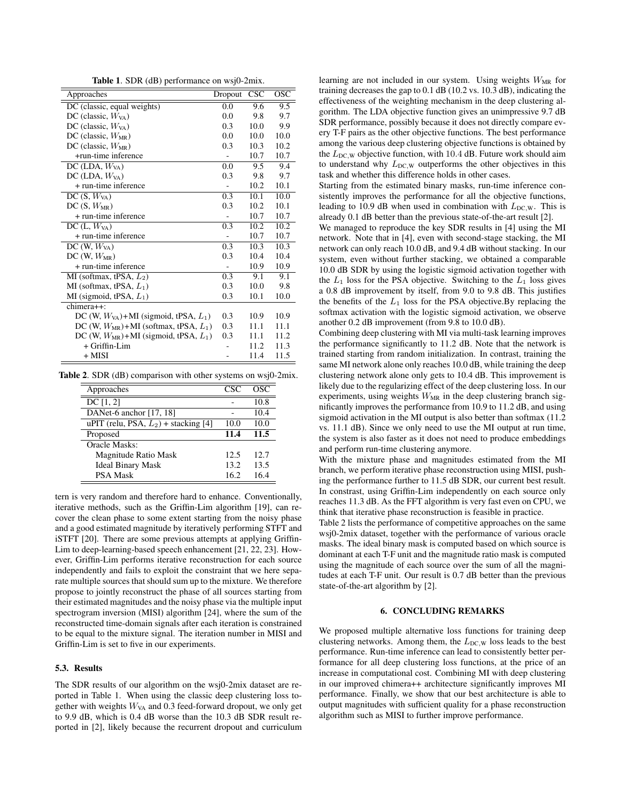Table 1. SDR (dB) performance on wsj0-2mix.

| Approaches                                   | Dropout | <b>CSC</b> | OSC  |
|----------------------------------------------|---------|------------|------|
| DC (classic, equal weights)                  | 0.0     | 9.6        | 9.5  |
| DC (classic, $W_{VA}$ )                      | 0.0     | 9.8        | 9.7  |
| DC (classic, $W_{VA}$ )                      | 0.3     | 10.0       | 9.9  |
| DC (classic, $W_{MR}$ )                      | 0.0     | 10.0       | 10.0 |
| DC (classic, $W_{MR}$ )                      | 0.3     | 10.3       | 10.2 |
| +run-time inference                          |         | 10.7       | 10.7 |
| $DC(LDA, W_{VA})$                            | 0.0     | 9.5        | 9.4  |
| $DC(LDA, W_{VA})$                            | 0.3     | 9.8        | 9.7  |
| + run-time inference                         |         | 10.2       | 10.1 |
| DC $(S, W_{VA})$                             | 0.3     | 10.1       | 10.0 |
| $DC(S, W_{MR})$                              | 0.3     | 10.2       | 10.1 |
| + run-time inference                         |         | 10.7       | 10.7 |
| DC $(L, W_{VA})$                             | 0.3     | 10.2       | 10.2 |
| + run-time inference                         |         | 10.7       | 10.7 |
| $DC(W, W_{VA})$                              | 0.3     | 10.3       | 10.3 |
| $DC(W, W_{MR})$                              | 0.3     | 10.4       | 10.4 |
| + run-time inference                         |         | 10.9       | 10.9 |
| MI (softmax, tPSA, $L_2$ )                   | 0.3     | 9.1        | 9.1  |
| MI (softmax, tPSA, $L_1$ )                   | 0.3     | 10.0       | 9.8  |
| MI (sigmoid, tPSA, $L_1$ )                   | 0.3     | 10.1       | 10.0 |
| chimera++:                                   |         |            |      |
| DC (W, $W_{VA}$ )+MI (sigmoid, tPSA, $L_1$ ) | 0.3     | 10.9       | 10.9 |
| DC (W, $W_{MR}$ )+MI (softmax, tPSA, $L_1$ ) | 0.3     | 11.1       | 11.1 |
| DC (W, $W_{MR}$ )+MI (sigmoid, tPSA, $L_1$ ) | 0.3     | 11.1       | 11.2 |
| + Griffin-Lim                                |         | 11.2       | 11.3 |
| + MISI                                       |         | 11.4       | 11.5 |

Table 2. SDR (dB) comparison with other systems on wsj0-2mix.

| Approaches                              | CSC. | OSC  |
|-----------------------------------------|------|------|
| DC [1, 2]                               |      | 10.8 |
| DANet-6 anchor $[17, 18]$               |      | 10.4 |
| uPIT (relu, PSA, $L_2$ ) + stacking [4] | 10.0 | 10.0 |
| Proposed                                | 11.4 | 11.5 |
| <b>Oracle Masks:</b>                    |      |      |
| Magnitude Ratio Mask                    | 12.5 | 12.7 |
| <b>Ideal Binary Mask</b>                | 13.2 | 13.5 |
| <b>PSA Mask</b>                         | 16.2 | 164  |

tern is very random and therefore hard to enhance. Conventionally, iterative methods, such as the Griffin-Lim algorithm [19], can recover the clean phase to some extent starting from the noisy phase and a good estimated magnitude by iteratively performing STFT and iSTFT [20]. There are some previous attempts at applying Griffin-Lim to deep-learning-based speech enhancement [21, 22, 23]. However, Griffin-Lim performs iterative reconstruction for each source independently and fails to exploit the constraint that we here separate multiple sources that should sum up to the mixture. We therefore propose to jointly reconstruct the phase of all sources starting from their estimated magnitudes and the noisy phase via the multiple input spectrogram inversion (MISI) algorithm [24], where the sum of the reconstructed time-domain signals after each iteration is constrained to be equal to the mixture signal. The iteration number in MISI and Griffin-Lim is set to five in our experiments.

# 5.3. Results

The SDR results of our algorithm on the wsj0-2mix dataset are reported in Table 1. When using the classic deep clustering loss together with weights  $W<sub>VA</sub>$  and 0.3 feed-forward dropout, we only get to 9.9 dB, which is 0.4 dB worse than the 10.3 dB SDR result reported in [2], likely because the recurrent dropout and curriculum learning are not included in our system. Using weights  $W_{MR}$  for training decreases the gap to 0.1 dB (10.2 vs. 10.3 dB), indicating the effectiveness of the weighting mechanism in the deep clustering algorithm. The LDA objective function gives an unimpressive 9.7 dB SDR performance, possibly because it does not directly compare every T-F pairs as the other objective functions. The best performance among the various deep clustering objective functions is obtained by the  $L_{\text{DC,W}}$  objective function, with 10.4 dB. Future work should aim to understand why  $L_{DC,W}$  outperforms the other objectives in this task and whether this difference holds in other cases.

Starting from the estimated binary masks, run-time inference consistently improves the performance for all the objective functions, leading to 10.9 dB when used in combination with  $L_{DC,W}$ . This is already 0.1 dB better than the previous state-of-the-art result [2].

We managed to reproduce the key SDR results in [4] using the MI network. Note that in [4], even with second-stage stacking, the MI network can only reach 10.0 dB, and 9.4 dB without stacking. In our system, even without further stacking, we obtained a comparable 10.0 dB SDR by using the logistic sigmoid activation together with the  $L_1$  loss for the PSA objective. Switching to the  $L_1$  loss gives a 0.8 dB improvement by itself, from 9.0 to 9.8 dB. This justifies the benefits of the  $L_1$  loss for the PSA objective. By replacing the softmax activation with the logistic sigmoid activation, we observe another 0.2 dB improvement (from 9.8 to 10.0 dB).

Combining deep clustering with MI via multi-task learning improves the performance significantly to 11.2 dB. Note that the network is trained starting from random initialization. In contrast, training the same MI network alone only reaches 10.0 dB, while training the deep clustering network alone only gets to 10.4 dB. This improvement is likely due to the regularizing effect of the deep clustering loss. In our experiments, using weights  $W_{MR}$  in the deep clustering branch significantly improves the performance from 10.9 to 11.2 dB, and using sigmoid activation in the MI output is also better than softmax (11.2 vs. 11.1 dB). Since we only need to use the MI output at run time, the system is also faster as it does not need to produce embeddings and perform run-time clustering anymore.

With the mixture phase and magnitudes estimated from the MI branch, we perform iterative phase reconstruction using MISI, pushing the performance further to 11.5 dB SDR, our current best result. In constrast, using Griffin-Lim independently on each source only reaches 11.3 dB. As the FFT algorithm is very fast even on CPU, we think that iterative phase reconstruction is feasible in practice.

Table 2 lists the performance of competitive approaches on the same wsj0-2mix dataset, together with the performance of various oracle masks. The ideal binary mask is computed based on which source is dominant at each T-F unit and the magnitude ratio mask is computed using the magnitude of each source over the sum of all the magnitudes at each T-F unit. Our result is 0.7 dB better than the previous state-of-the-art algorithm by [2].

### 6. CONCLUDING REMARKS

We proposed multiple alternative loss functions for training deep clustering networks. Among them, the  $L_{DC,W}$  loss leads to the best performance. Run-time inference can lead to consistently better performance for all deep clustering loss functions, at the price of an increase in computational cost. Combining MI with deep clustering in our improved chimera++ architecture significantly improves MI performance. Finally, we show that our best architecture is able to output magnitudes with sufficient quality for a phase reconstruction algorithm such as MISI to further improve performance.